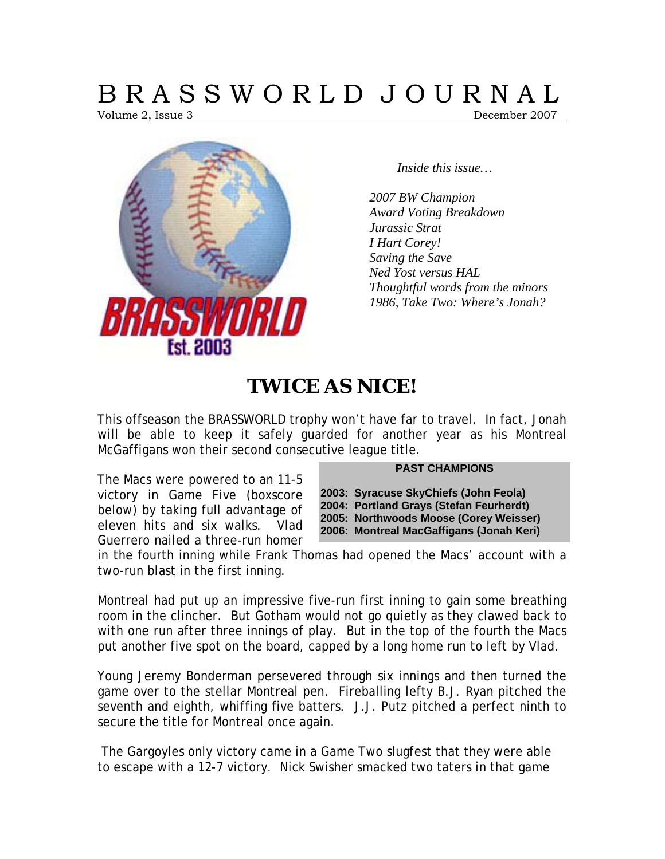# B R A S S W O R L D J O U R N A L

Volume 2, Issue 3 December 2007



*Inside this issue…* 

*2007 BW Champion Award Voting Breakdown Jurassic Strat I Hart Corey! Saving the Save Ned Yost versus HAL Thoughtful words from the minors 1986, Take Two: Where's Jonah?* 

# **TWICE AS NICE!**

This offseason the BRASSWORLD trophy won't have far to travel. In fact, Jonah will be able to keep it safely guarded for another year as his Montreal McGaffigans won their second consecutive league title.

#### **PAST CHAMPIONS**

The Macs were powered to an 11-5 victory in Game Five (boxscore below) by taking full advantage of eleven hits and six walks. Vlad Guerrero nailed a three-run homer

**2003: Syracuse SkyChiefs (John Feola) 2004: Portland Grays (Stefan Feurherdt) 2005: Northwoods Moose (Corey Weisser) 2006: Montreal MacGaffigans (Jonah Keri)** 

in the fourth inning while Frank Thomas had opened the Macs' account with a two-run blast in the first inning.

Montreal had put up an impressive five-run first inning to gain some breathing room in the clincher. But Gotham would not go quietly as they clawed back to with one run after three innings of play. But in the top of the fourth the Macs put another five spot on the board, capped by a long home run to left by Vlad.

Young Jeremy Bonderman persevered through six innings and then turned the game over to the stellar Montreal pen. Fireballing lefty B.J. Ryan pitched the seventh and eighth, whiffing five batters. J.J. Putz pitched a perfect ninth to secure the title for Montreal once again.

 The Gargoyles only victory came in a Game Two slugfest that they were able to escape with a 12-7 victory. Nick Swisher smacked two taters in that game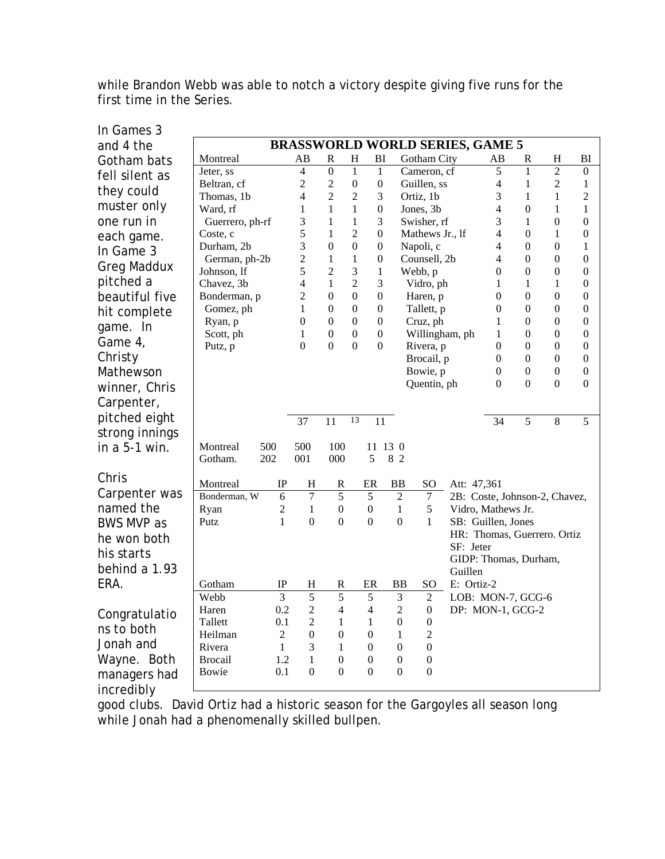while Brandon Webb was able to notch a victory despite giving five runs for the first time in the Series.

| In Games 3         |                                        |                              |                         |                  |                     |                                  |                  |  |                              |             |                    |                       |                                      |                                      |
|--------------------|----------------------------------------|------------------------------|-------------------------|------------------|---------------------|----------------------------------|------------------|--|------------------------------|-------------|--------------------|-----------------------|--------------------------------------|--------------------------------------|
| and 4 the          | <b>BRASSWORLD WORLD SERIES, GAME 5</b> |                              |                         |                  |                     |                                  |                  |  |                              |             |                    |                       |                                      |                                      |
| Gotham bats        | Montreal                               |                              | AВ                      | $\mathbf R$      | $H_{\rm}$           | BI                               |                  |  | Gotham City                  |             | AВ                 | R                     | $H_{\rm}$                            | BI                                   |
| fell silent as     | Jeter, ss                              |                              | $\overline{4}$          | $\overline{0}$   | $\mathbf{1}$        | $\mathbf{1}$                     |                  |  | Cameron, cf                  |             | 5                  | $\mathbf{1}$          | $\overline{2}$                       | $\boldsymbol{0}$                     |
| they could         | Beltran, cf                            |                              | 2                       | $\overline{c}$   | $\boldsymbol{0}$    | $\boldsymbol{0}$                 |                  |  | Guillen, ss                  |             | 4                  | $\mathbf{1}$          | $\overline{2}$                       | 1                                    |
| muster only        | Thomas, 1b                             |                              | 4                       | $\overline{c}$   | $\overline{c}$      | 3                                |                  |  | Ortiz, 1b                    |             | 3                  | $\mathbf{1}$          | $\mathbf{1}$                         | $\overline{c}$                       |
|                    | Ward, rf                               |                              | $\mathbf{1}$            | $\mathbf{1}$     | $\mathbf{1}$        | $\boldsymbol{0}$                 |                  |  | Jones, 3b                    |             | 4                  | $\overline{0}$        | 1                                    | 1                                    |
| one run in         | Guerrero, ph-rf                        |                              | 3                       | 1<br>1           | 1<br>$\overline{2}$ | 3<br>$\boldsymbol{0}$            |                  |  | Swisher, rf                  |             | 3<br>4             | 1<br>$\mathbf{0}$     | $\boldsymbol{0}$<br>1                | $\boldsymbol{0}$                     |
| each game.         | Coste, c<br>Durham, 2b                 |                              | 5<br>3                  | $\boldsymbol{0}$ | $\boldsymbol{0}$    | $\boldsymbol{0}$                 |                  |  | Mathews Jr., lf<br>Napoli, c |             | 4                  | $\mathbf{0}$          | $\boldsymbol{0}$                     | $\boldsymbol{0}$<br>1                |
| In Game 3          | German, ph-2b                          |                              | 2                       | 1                | 1                   | $\boldsymbol{0}$                 |                  |  | Counsell, 2b                 |             | 4                  | $\theta$              | $\boldsymbol{0}$                     | $\boldsymbol{0}$                     |
| <b>Greg Maddux</b> | Johnson, lf                            |                              | 5                       | 2                | 3                   | $\mathbf{1}$                     |                  |  | Webb, p                      |             | 0                  | $\boldsymbol{0}$      | $\boldsymbol{0}$                     | $\boldsymbol{0}$                     |
| pitched a          | Chavez, 3b                             |                              | 4                       | $\mathbf{1}$     | $\overline{2}$      | 3                                |                  |  | Vidro, ph                    |             | 1                  | $\mathbf{1}$          | $\mathbf{1}$                         | $\boldsymbol{0}$                     |
| beautiful five     | Bonderman, p                           |                              | 2                       | $\boldsymbol{0}$ | $\mathbf{0}$        | $\boldsymbol{0}$                 |                  |  | Haren, p                     |             | 0                  | $\boldsymbol{0}$      | $\boldsymbol{0}$                     | $\boldsymbol{0}$                     |
| hit complete       | Gomez, ph                              |                              | 1                       | $\boldsymbol{0}$ | $\boldsymbol{0}$    | $\boldsymbol{0}$                 |                  |  | Tallett, p                   |             | $\mathbf{0}$       | $\boldsymbol{0}$      | $\boldsymbol{0}$                     | $\boldsymbol{0}$                     |
| game. In           | Ryan, p                                |                              | $\boldsymbol{0}$        | $\boldsymbol{0}$ | $\boldsymbol{0}$    | $\boldsymbol{0}$                 |                  |  | Cruz, ph                     |             | 1                  | $\boldsymbol{0}$      | $\boldsymbol{0}$                     | $\boldsymbol{0}$                     |
| Game 4,            | Scott, ph                              |                              | 1                       | $\boldsymbol{0}$ | $\boldsymbol{0}$    | $\boldsymbol{0}$                 |                  |  | Willingham, ph               |             | 1                  | $\boldsymbol{0}$      | $\boldsymbol{0}$                     | $\boldsymbol{0}$                     |
|                    | Putz, p                                |                              | $\overline{0}$          | $\overline{0}$   | $\overline{0}$      | $\mathbf{0}$                     |                  |  | Rivera, p                    |             | $\overline{0}$     | $\boldsymbol{0}$      | $\boldsymbol{0}$                     | $\boldsymbol{0}$                     |
| Christy            |                                        |                              |                         |                  |                     |                                  |                  |  | Brocail, p                   |             | $\Omega$           | $\overline{0}$        | $\boldsymbol{0}$                     | $\boldsymbol{0}$                     |
| Mathewson          |                                        |                              |                         |                  |                     |                                  |                  |  | Bowie, p                     |             | 0<br>$\theta$      | 0<br>$\overline{0}$   | $\boldsymbol{0}$<br>$\boldsymbol{0}$ | $\boldsymbol{0}$<br>$\boldsymbol{0}$ |
| winner, Chris      |                                        |                              |                         |                  |                     |                                  |                  |  | Quentin, ph                  |             |                    |                       |                                      |                                      |
| Carpenter,         |                                        |                              |                         |                  |                     |                                  |                  |  |                              |             |                    |                       |                                      |                                      |
| pitched eight      |                                        |                              | 37                      | 11               | 13                  | 11                               |                  |  |                              |             | 34                 | 5                     | $\,8\,$                              | 5                                    |
| strong innings     |                                        |                              |                         |                  |                     |                                  |                  |  |                              |             |                    |                       |                                      |                                      |
| in $a$ 5-1 win.    | 500<br>Montreal                        |                              | 500                     | 100              |                     |                                  | 11 13 0          |  |                              |             |                    |                       |                                      |                                      |
|                    | 202<br>Gotham.                         |                              | 001                     | 000              |                     | 5                                | 8 2              |  |                              |             |                    |                       |                                      |                                      |
| Chris              |                                        |                              |                         |                  |                     |                                  |                  |  |                              |             |                    |                       |                                      |                                      |
| Carpenter was      | Montreal                               | IP                           | H                       | R                |                     | ER                               | <b>BB</b>        |  | SO <sub>1</sub>              | Att: 47,361 |                    |                       |                                      |                                      |
|                    | Bonderman, W                           | $\overline{6}$               | $\overline{7}$          | $\overline{5}$   |                     | $\overline{5}$                   | $\overline{2}$   |  | $\overline{7}$               |             |                    |                       | 2B: Coste, Johnson-2, Chavez,        |                                      |
| named the          | Ryan                                   | $\mathbf{2}$<br>$\mathbf{1}$ | $\mathbf{1}$            | $\boldsymbol{0}$ |                     | $\boldsymbol{0}$<br>$\mathbf{0}$ | $\mathbf{1}$     |  | $\sqrt{5}$                   |             | Vidro, Mathews Jr. |                       |                                      |                                      |
| <b>BWS MVP as</b>  | Putz                                   |                              | $\mathbf{0}$            | $\mathbf{0}$     |                     |                                  | $\boldsymbol{0}$ |  | 1                            |             | SB: Guillen, Jones |                       | HR: Thomas, Guerrero. Ortiz          |                                      |
| he won both        |                                        |                              |                         |                  |                     |                                  |                  |  |                              | SF: Jeter   |                    |                       |                                      |                                      |
| his starts         |                                        |                              |                         |                  |                     |                                  |                  |  |                              |             |                    | GIDP: Thomas, Durham, |                                      |                                      |
| behind a 1.93      |                                        |                              |                         |                  |                     |                                  |                  |  |                              | Guillen     |                    |                       |                                      |                                      |
| ERA.               | Gotham                                 | $_{\rm IP}$                  | H                       | R                |                     | ER                               | <b>BB</b>        |  | <sub>SO</sub>                | E: Ortiz-2  |                    |                       |                                      |                                      |
|                    | Webb                                   | $\overline{3}$               | $\overline{5}$          | $\overline{5}$   |                     | 5                                | 3                |  | $\mathfrak{2}$               |             |                    | LOB: MON-7, GCG-6     |                                      |                                      |
| Congratulatio      | Haren                                  | 0.2                          | $\overline{\mathbf{c}}$ | 4                |                     | 4                                | 2                |  | $\boldsymbol{0}$             |             |                    | DP: MON-1, GCG-2      |                                      |                                      |
| ns to both         | Tallett                                | 0.1                          | $\overline{2}$          | 1                |                     | 1                                | $\mathbf{0}$     |  | $\boldsymbol{0}$             |             |                    |                       |                                      |                                      |
|                    | Heilman                                | $\overline{2}$               | $\boldsymbol{0}$        | $\boldsymbol{0}$ |                     | $\boldsymbol{0}$                 | 1                |  | 2                            |             |                    |                       |                                      |                                      |
| Jonah and          | Rivera                                 | $\mathbf{1}$                 | 3                       | 1                |                     | $\boldsymbol{0}$                 | $\boldsymbol{0}$ |  | $\boldsymbol{0}$             |             |                    |                       |                                      |                                      |
| Wayne. Both        | <b>Brocail</b>                         | 1.2                          | $\mathbf{1}$            | $\boldsymbol{0}$ |                     | $\boldsymbol{0}$                 | $\boldsymbol{0}$ |  | $\boldsymbol{0}$             |             |                    |                       |                                      |                                      |
| managers had       | Bowie                                  | 0.1                          | $\boldsymbol{0}$        | $\boldsymbol{0}$ |                     | $\boldsymbol{0}$                 | $\boldsymbol{0}$ |  | $\boldsymbol{0}$             |             |                    |                       |                                      |                                      |
| incredibly         |                                        |                              |                         |                  |                     |                                  |                  |  |                              |             |                    |                       |                                      |                                      |

good clubs. David Ortiz had a historic season for the Gargoyles all season long while Jonah had a phenomenally skilled bullpen.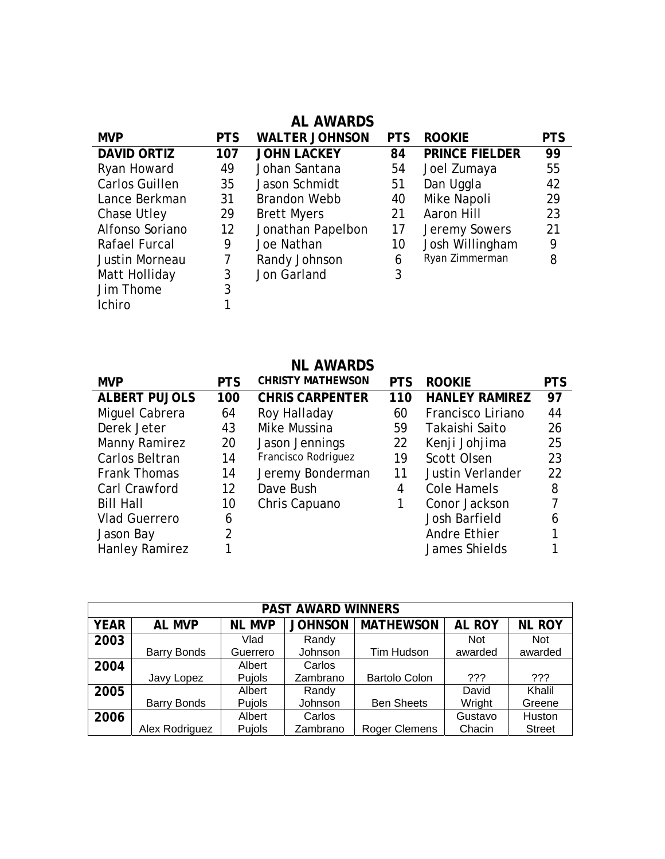|                       |                   | <b>AL AWARDS</b>      |            |                       |            |
|-----------------------|-------------------|-----------------------|------------|-----------------------|------------|
| <b>MVP</b>            | <b>PTS</b>        | <b>WALTER JOHNSON</b> | <b>PTS</b> | <b>ROOKIE</b>         | <b>PTS</b> |
| <b>DAVID ORTIZ</b>    | 107               | <b>JOHN LACKEY</b>    | 84         | <b>PRINCE FIELDER</b> | 99         |
| Ryan Howard           | 49                | Johan Santana         | 54         | Joel Zumaya           | 55         |
| <b>Carlos Guillen</b> | 35                | Jason Schmidt         | 51         | Dan Uggla             | 42         |
| Lance Berkman         | 31                | <b>Brandon Webb</b>   | 40         | Mike Napoli           | 29         |
| Chase Utley           | 29                | <b>Brett Myers</b>    | 21         | Aaron Hill            | 23         |
| Alfonso Soriano       | $12 \overline{ }$ | Jonathan Papelbon     | 17         | Jeremy Sowers         | 21         |
| Rafael Furcal         | 9                 | Joe Nathan            | 10         | Josh Willingham       | 9          |
| Justin Morneau        | 7                 | Randy Johnson         | 6          | Ryan Zimmerman        | 8          |
| Matt Holliday         | 3                 | Jon Garland           | 3          |                       |            |
| Jim Thome             | 3                 |                       |            |                       |            |
| <b>Ichiro</b>         |                   |                       |            |                       |            |

### **NL AWARDS**

| <b>MVP</b>           | <b>PTS</b>     | <b>CHRISTY MATHEWSON</b> | <b>PTS</b> | <b>ROOKIE</b>           | <b>PTS</b> |
|----------------------|----------------|--------------------------|------------|-------------------------|------------|
| <b>ALBERT PUJOLS</b> | 100            | <b>CHRIS CARPENTER</b>   | 110        | <b>HANLEY RAMIREZ</b>   | 97         |
| Miguel Cabrera       | 64             | Roy Halladay             | 60         | Francisco Liriano       | 44         |
| Derek Jeter          | 43             | Mike Mussina             | 59         | Takaishi Saito          | 26         |
| <b>Manny Ramirez</b> | 20             | Jason Jennings           | 22         | Kenji Johjima           | 25         |
| Carlos Beltran       | 14             | Francisco Rodriguez      | 19         | Scott Olsen             | 23         |
| <b>Frank Thomas</b>  | 14             | Jeremy Bonderman         | 11         | <b>Justin Verlander</b> | 22         |
| Carl Crawford        | 12             | Dave Bush                | 4          | Cole Hamels             | 8          |
| <b>Bill Hall</b>     | 10             | Chris Capuano            | 1          | Conor Jackson           | 7          |
| <b>Vlad Guerrero</b> | 6              |                          |            | Josh Barfield           | 6          |
| Jason Bay            | $\overline{2}$ |                          |            | Andre Ethier            |            |
| Hanley Ramirez       |                |                          |            | James Shields           |            |

| <b>PAST AWARD WINNERS</b> |                    |               |                |                      |               |               |  |  |  |
|---------------------------|--------------------|---------------|----------------|----------------------|---------------|---------------|--|--|--|
| <b>YEAR</b>               | <b>AL MVP</b>      | <b>NL MVP</b> | <b>JOHNSON</b> | <b>MATHEWSON</b>     | <b>AL ROY</b> | <b>NL ROY</b> |  |  |  |
| 2003                      |                    | Vlad          | Randy          |                      | <b>Not</b>    | <b>Not</b>    |  |  |  |
|                           | <b>Barry Bonds</b> | Guerrero      | Johnson        | Tim Hudson           | awarded       | awarded       |  |  |  |
| 2004                      |                    | Albert        | Carlos         |                      |               |               |  |  |  |
|                           | Javy Lopez         | Pujols        | Zambrano       | <b>Bartolo Colon</b> | ???           | ???           |  |  |  |
| 2005                      |                    | Albert        | Randy          |                      | David         | Khalil        |  |  |  |
|                           | <b>Barry Bonds</b> | Pujols        | Johnson        | <b>Ben Sheets</b>    | Wright        | Greene        |  |  |  |
| 2006                      |                    | Albert        | Carlos         |                      | Gustavo       | Huston        |  |  |  |
|                           | Alex Rodriguez     | Pujols        | Zambrano       | <b>Roger Clemens</b> | Chacin        | <b>Street</b> |  |  |  |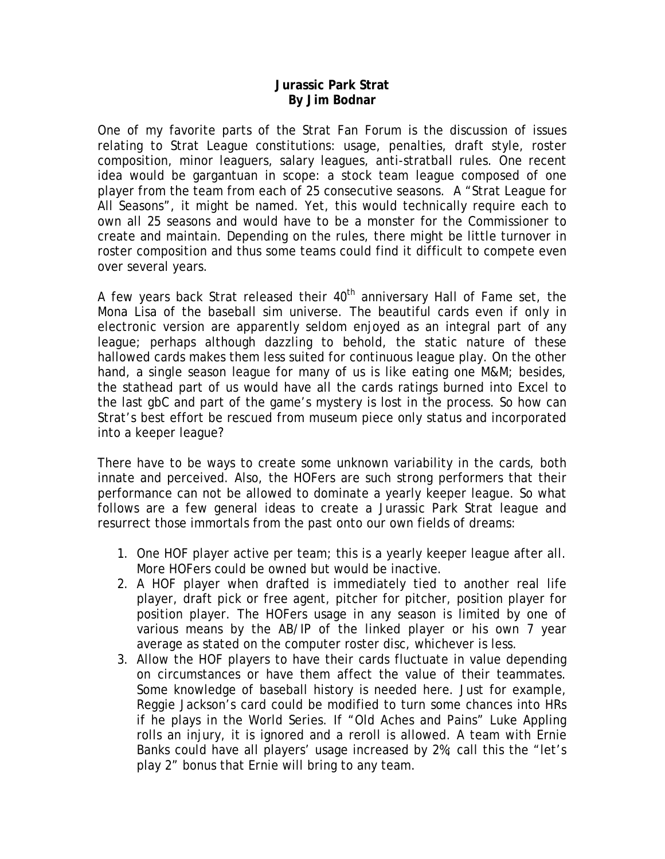#### **Jurassic Park Strat By Jim Bodnar**

One of my favorite parts of the Strat Fan Forum is the discussion of issues relating to Strat League constitutions: usage, penalties, draft style, roster composition, minor leaguers, salary leagues, anti-stratball rules. One recent idea would be gargantuan in scope: a stock team league composed of one player from the team from each of 25 consecutive seasons. A "Strat League for All Seasons", it might be named. Yet, this would technically require each to own all 25 seasons and would have to be a monster for the Commissioner to create and maintain. Depending on the rules, there might be little turnover in roster composition and thus some teams could find it difficult to compete even over several years.

A few years back Strat released their 40<sup>th</sup> anniversary Hall of Fame set, the Mona Lisa of the baseball sim universe. The beautiful cards even if only in electronic version are apparently seldom enjoyed as an integral part of any league; perhaps although dazzling to behold, the static nature of these hallowed cards makes them less suited for continuous league play. On the other hand, a single season league for many of us is like eating one M&M; besides, the stathead part of us would have all the cards ratings burned into Excel to the last gbC and part of the game's mystery is lost in the process. So how can Strat's best effort be rescued from museum piece only status and incorporated into a keeper league?

There have to be ways to create some unknown variability in the cards, both innate and perceived. Also, the HOFers are such strong performers that their performance can not be allowed to dominate a yearly keeper league. So what follows are a few general ideas to create a Jurassic Park Strat league and resurrect those immortals from the past onto our own fields of dreams:

- 1. One HOF player active per team; this is a yearly keeper league after all. More HOFers could be owned but would be inactive.
- 2. A HOF player when drafted is immediately tied to another real life player, draft pick or free agent, pitcher for pitcher, position player for position player. The HOFers usage in any season is limited by one of various means by the AB/IP of the linked player or his own 7 year average as stated on the computer roster disc, whichever is less.
- 3. Allow the HOF players to have their cards fluctuate in value depending on circumstances or have them affect the value of their teammates. Some knowledge of baseball history is needed here. Just for example, Reggie Jackson's card could be modified to turn some chances into HRs if he plays in the World Series. If "Old Aches and Pains" Luke Appling rolls an injury, it is ignored and a reroll is allowed. A team with Ernie Banks could have all players' usage increased by 2%; call this the "let's play 2" bonus that Ernie will bring to any team.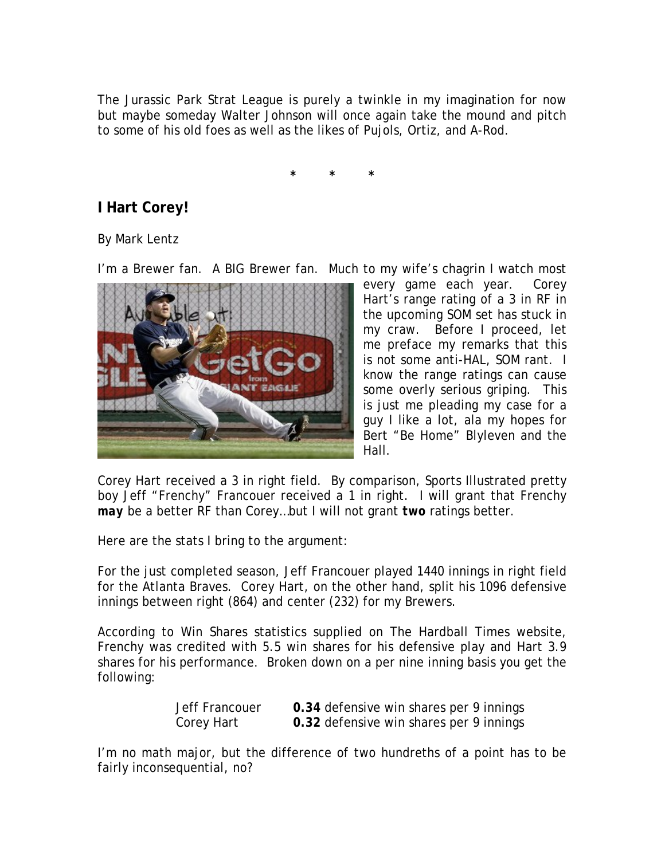The Jurassic Park Strat League is purely a twinkle in my imagination for now but maybe someday Walter Johnson will once again take the mound and pitch to some of his old foes as well as the likes of Pujols, Ortiz, and A-Rod.

**\* \* \*** 

## **I Hart Corey!**

By Mark Lentz

I'm a Brewer fan. A BIG Brewer fan. Much to my wife's chagrin I watch most



every game each year. Corey Hart's range rating of a 3 in RF in the upcoming SOM set has stuck in my craw. Before I proceed, let me preface my remarks that this is not some anti-HAL, SOM rant. I know the range ratings can cause some overly serious griping. This is just me pleading my case for a guy I like a lot, ala my hopes for Bert "Be Home" Blyleven and the Hall.

Corey Hart received a 3 in right field. By comparison, Sports Illustrated pretty boy Jeff "Frenchy" Francouer received a 1 in right. I will grant that Frenchy *may* be a better RF than Corey…but I will not grant *two* ratings better.

Here are the stats I bring to the argument:

For the just completed season, Jeff Francouer played 1440 innings in right field for the Atlanta Braves. Corey Hart, on the other hand, split his 1096 defensive innings between right (864) and center (232) for my Brewers.

According to Win Shares statistics supplied on The Hardball Times website, Frenchy was credited with 5.5 win shares for his defensive play and Hart 3.9 shares for his performance. Broken down on a per nine inning basis you get the following:

| Jeff Francouer | 0.34 defensive win shares per 9 innings |
|----------------|-----------------------------------------|
| Corey Hart     | 0.32 defensive win shares per 9 innings |

I'm no math major, but the difference of two hundreths of a point has to be fairly inconsequential, no?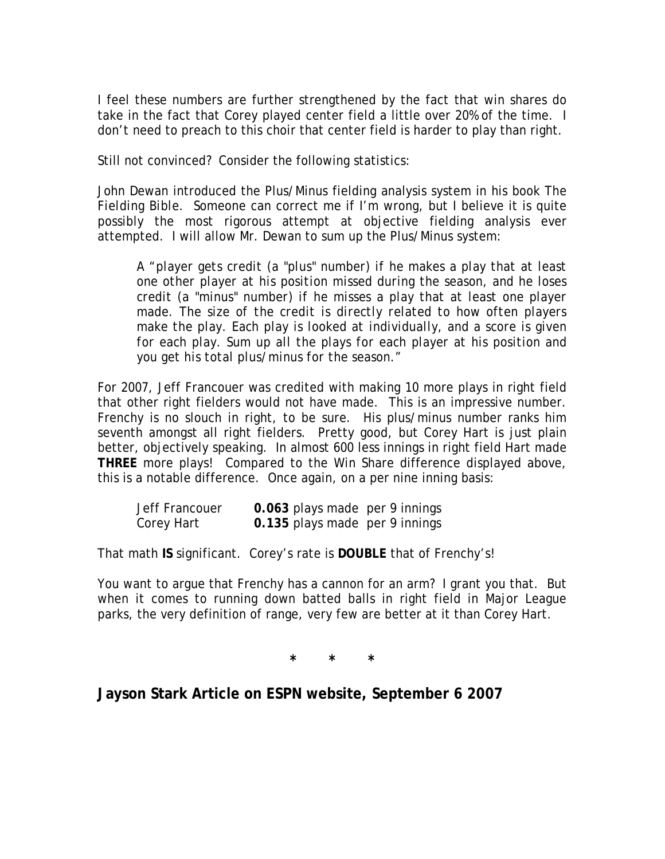I feel these numbers are further strengthened by the fact that win shares do take in the fact that Corey played center field a little over 20% of the time. I don't need to preach to this choir that center field is harder to play than right.

Still not convinced? Consider the following statistics:

John Dewan introduced the Plus/Minus fielding analysis system in his book *The Fielding Bible*. Someone can correct me if I'm wrong, but I believe it is quite possibly the most rigorous attempt at objective fielding analysis ever attempted. I will allow Mr. Dewan to sum up the Plus/Minus system:

A *"player gets credit (a "plus" number) if he makes a play that at least one other player at his position missed during the season, and he loses credit (a "minus" number) if he misses a play that at least one player made. The size of the credit is directly related to how often players make the play. Each play is looked at individually, and a score is given for each play. Sum up all the plays for each player at his position and you get his total plus/minus for the season."* 

For 2007, Jeff Francouer was credited with making 10 more plays in right field that other right fielders would not have made. This is an impressive number. Frenchy is no slouch in right, to be sure. His plus/minus number ranks him seventh amongst all right fielders. Pretty good, but Corey Hart is just plain better, objectively speaking. In almost 600 less innings in right field Hart made **THREE** more plays! Compared to the Win Share difference displayed above, this is a notable difference. Once again, on a per nine inning basis:

| Jeff Francouer | 0.063 plays made per 9 innings |  |
|----------------|--------------------------------|--|
| Corey Hart     | 0.135 plays made per 9 innings |  |

That math **IS** significant. Corey's rate is **DOUBLE** that of Frenchy's!

You want to argue that Frenchy has a cannon for an arm? I grant you that. But when it comes to running down batted balls in right field in Major League parks, the very definition of range, very few are better at it than Corey Hart.

**\* \* \***

**Jayson Stark Article on ESPN website, September 6 2007**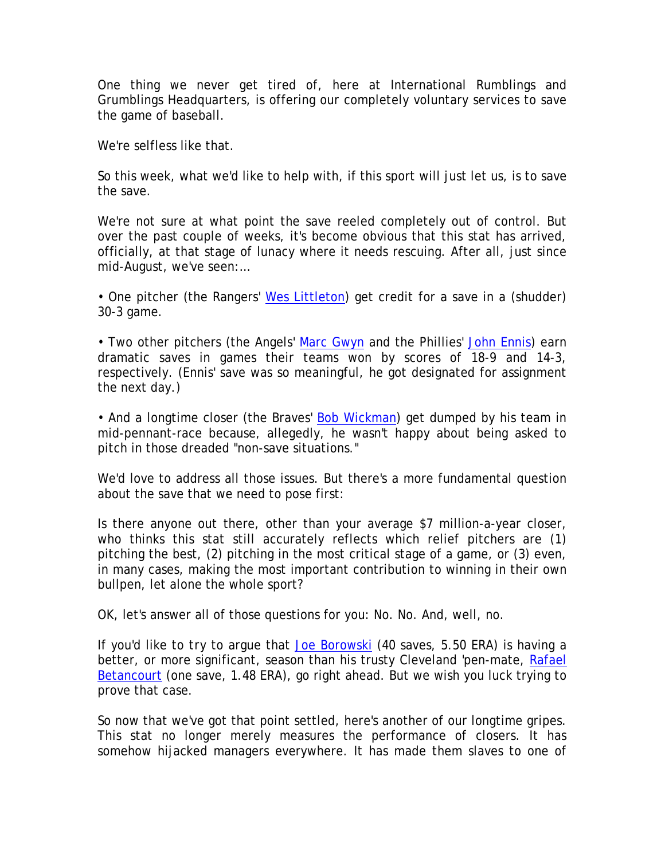One thing we never get tired of, here at International Rumblings and Grumblings Headquarters, is offering our completely voluntary services to save the game of baseball.

We're selfless like that.

So this week, what we'd like to help with, if this sport will just let us, is to save the save.

We're not sure at what point the save reeled completely out of control. But over the past couple of weeks, it's become obvious that this stat has arrived, officially, at that stage of lunacy where it needs rescuing. After all, just since mid-August, we've seen:…

• One pitcher (the Rangers' [Wes Littleton\)](http://sports.espn.go.com/mlb/players/profile?statsId=7776) get credit for a save in a (shudder) 30-3 game.

• Two other pitchers (the Angels' [Marc Gwyn](http://sports.espn.go.com/mlb/players/profile?statsId=8073) and the Phillies' [John Ennis](http://sports.espn.go.com/mlb/players/profile?statsId=6906)) earn dramatic saves in games their teams won by scores of 18-9 and 14-3, respectively. (Ennis' save was so meaningful, he got designated for assignment the next day.)

• And a longtime closer (the Braves' [Bob Wickman](http://sports.espn.go.com/mlb/players/profile?statsId=4919)) get dumped by his team in mid-pennant-race because, allegedly, he wasn't happy about being asked to pitch in those dreaded "non-save situations."

We'd love to address all those issues. But there's a more fundamental question about the save that we need to pose first:

Is there anyone out there, other than your average \$7 million-a-year closer, who thinks this stat still accurately reflects which relief pitchers are (1) pitching the best, (2) pitching in the most critical stage of a game, or (3) even, in many cases, making the most important contribution to winning in their own bullpen, let alone the whole sport?

OK, let's answer all of those questions for you: No. No. And, well, no.

If you'd like to *try* to argue that [Joe Borowski](http://sports.espn.go.com/mlb/players/profile?statsId=5448) (40 saves, 5.50 ERA) is having a better, or more significant, season than his trusty Cleveland 'pen-mate, Rafael [Betancourt](http://sports.espn.go.com/mlb/players/profile?statsId=6146) (one save, 1.48 ERA), go right ahead. But we wish you luck trying to prove that case.

So now that we've got that point settled, here's another of our longtime gripes. This stat no longer merely measures the performance of closers. It has somehow hijacked managers everywhere. It has made them slaves to one of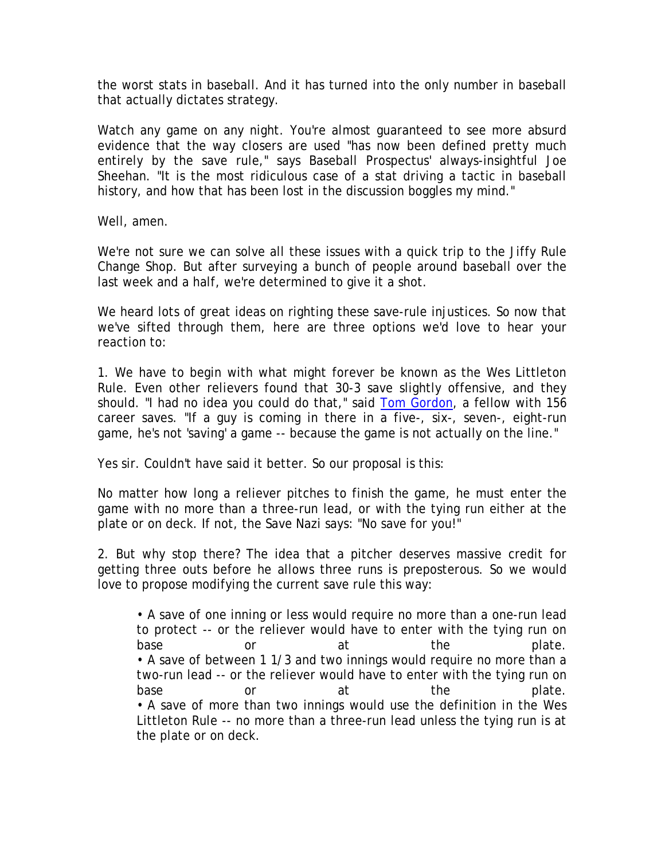the worst stats in baseball. And it has turned into the only number in baseball that actually dictates strategy.

Watch any game on any night. You're almost guaranteed to see more absurd evidence that the way closers are used "has now been defined pretty much entirely by the save rule," says Baseball Prospectus' always-insightful Joe Sheehan. "It is the most ridiculous case of a stat driving a tactic in baseball history, and how that has been lost in the discussion boggles my mind."

Well, amen.

We're not sure we can solve all these issues with a quick trip to the Jiffy Rule Change Shop. But after surveying a bunch of people around baseball over the last week and a half, we're determined to give it a shot.

We heard lots of great ideas on righting these save-rule injustices. So now that we've sifted through them, here are three options we'd love to hear your reaction to:

1. We have to begin with what might forever be known as the Wes Littleton Rule. Even other relievers found that 30-3 save slightly offensive, and they should. "I had no idea you could do that," said [Tom Gordon](http://sports.espn.go.com/mlb/players/profile?statsId=4279), a fellow with 156 career saves. "If a guy is coming in there in a five-, six-, seven-, eight-run game, he's not 'saving' a game -- because the game is not actually on the line."

Yes sir. Couldn't have said it better. So our proposal is this:

No matter how long a reliever pitches to finish the game, he *must* enter the game with no more than a three-run lead, or with the tying run either at the plate or on deck. If not, the Save Nazi says: "No save for you!"

2. But why stop there? The idea that a pitcher deserves massive credit for getting three outs before he allows three runs is preposterous. So we would love to propose modifying the current save rule this way:

• A save of one inning or less would require no more than a *one*-run lead to protect -- or the reliever would have to enter with the tying run on base or at the plate. • A save of between 1 1/3 and two innings would require no more than a *two*-run lead -- or the reliever would have to enter with the tying run on base or at the plate. • A save of more than two innings would use the definition in the Wes Littleton Rule -- no more than a three-run lead unless the tying run is at the plate or on deck.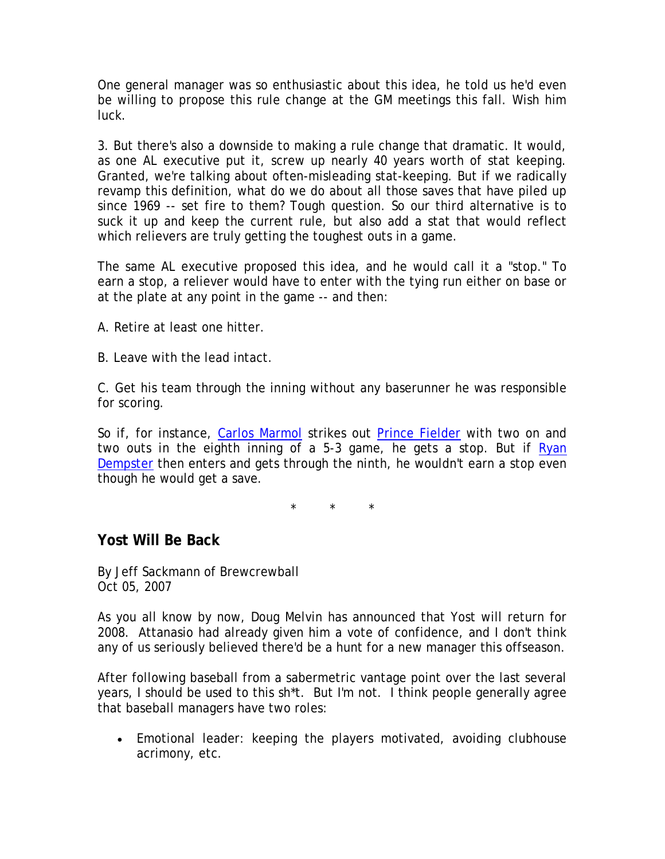One general manager was so enthusiastic about this idea, he told us he'd even be willing to propose this rule change at the GM meetings this fall. Wish him luck.

3. But there's also a downside to making a rule change that dramatic. It would, as one AL executive put it, screw up nearly 40 years worth of stat keeping. Granted, we're talking about often-misleading stat-keeping. But if we radically revamp this definition, what do we do about all those saves that have piled up since 1969 -- set fire to them? Tough question. So our third alternative is to suck it up and keep the current rule, but also add a stat that would reflect which relievers are truly getting the toughest outs in a game.

The same AL executive proposed this idea, and he would call it a "stop." To earn a stop, a reliever would have to enter with the tying run either on base or at the plate at any point in the game -- and then:

A. Retire at least one hitter.

B. Leave with the lead intact.

C. Get his team through the inning without any baserunner he was responsible for scoring.

So if, for instance, [Carlos Marmol](http://sports.espn.go.com/mlb/players/profile?statsId=7789) strikes out [Prince Fielder](http://sports.espn.go.com/mlb/players/profile?statsId=7290) with two on and two outs in the eighth inning of a 5-3 game, he gets a stop. But if Ryan [Dempster](http://sports.espn.go.com/mlb/players/profile?statsId=6006) then enters and gets through the ninth, he wouldn't earn a stop even though he would get a save.

\* \* \*

#### **Yost Will Be Back**

*By* Jeff Sackmann of Brewcrewball Oct 05, 2007

As you all know by now, Doug Melvin has announced that Yost will return for 2008. Attanasio had already given him a vote of confidence, and I don't think any of us seriously believed there'd be a hunt for a new manager this offseason.

After following baseball from a sabermetric vantage point over the last several years, I should be used to this sh\*t. But I'm not. I think people generally agree that baseball managers have two roles:

• Emotional leader: keeping the players motivated, avoiding clubhouse acrimony, etc.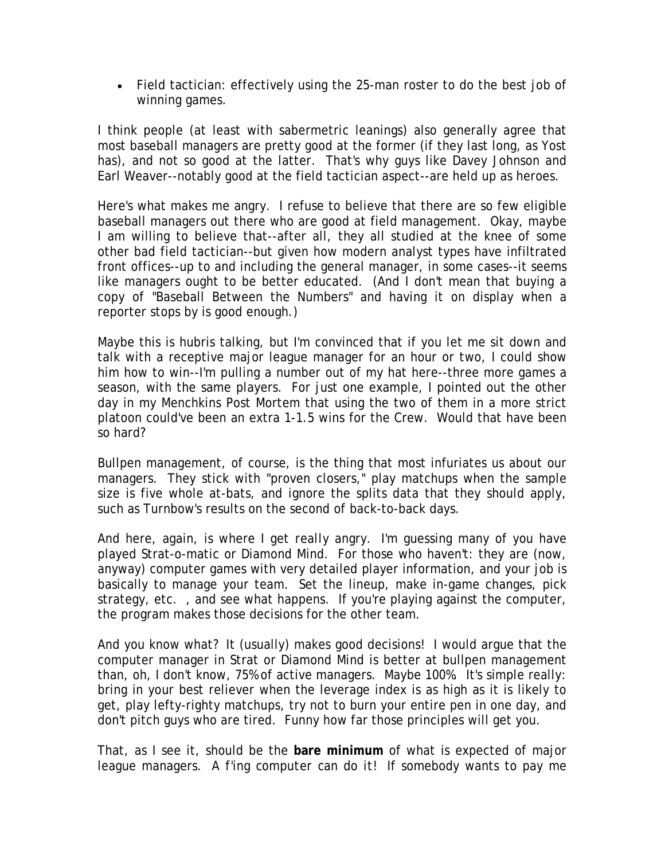• Field tactician: effectively using the 25-man roster to do the best job of winning games.

I think people (at least with sabermetric leanings) also generally agree that most baseball managers are pretty good at the former (if they last long, as Yost has), and not so good at the latter. That's why guys like Davey Johnson and Earl Weaver--notably good at the field tactician aspect--are held up as heroes.

Here's what makes me angry. I refuse to believe that there are so few eligible baseball managers out there who are good at field management. Okay, maybe I *am* willing to believe that--after all, they all studied at the knee of some other bad field tactician--but given how modern analyst types have infiltrated front offices--up to and including the general manager, in some cases--it seems like managers ought to be better educated. (And I don't mean that buying a copy of "Baseball Between the Numbers" and having it on display when a reporter stops by is good enough.)

Maybe this is hubris talking, but I'm convinced that if you let me sit down and talk with a receptive major league manager for an hour or two, I could show him how to win--I'm pulling a number out of my hat here--three more games a season, with the same players. For just one example, I pointed out the other day in my Menchkins Post Mortem that using the two of them in a more strict platoon could've been an extra 1-1.5 wins for the Crew. Would that have been so hard?

Bullpen management, of course, is the thing that most infuriates us about our managers. They stick with "proven closers," play matchups when the sample size is five whole at-bats, and ignore the splits data that they should apply, such as Turnbow's results on the second of back-to-back days.

And here, again, is where I get *really* angry. I'm guessing many of you have played Strat-o-matic or Diamond Mind. For those who haven't: they are (now, anyway) computer games with very detailed player information, and your job is basically to manage your team. Set the lineup, make in-game changes, pick strategy, etc. , and see what happens. If you're playing against the computer, the program makes those decisions for the other team.

And you know what? It (usually) makes *good* decisions! I would argue that the computer manager in Strat or Diamond Mind is better at bullpen management than, oh, I don't know, 75% of active managers. Maybe 100%. It's simple really: bring in your best reliever when the leverage index is as high as it is likely to get, play lefty-righty matchups, try not to burn your entire pen in one day, and don't pitch guys who are tired. Funny how far those principles will get you.

That, as I see it, should be the **bare minimum** of what is expected of major league managers. *A f'ing computer can do it!* If somebody wants to pay me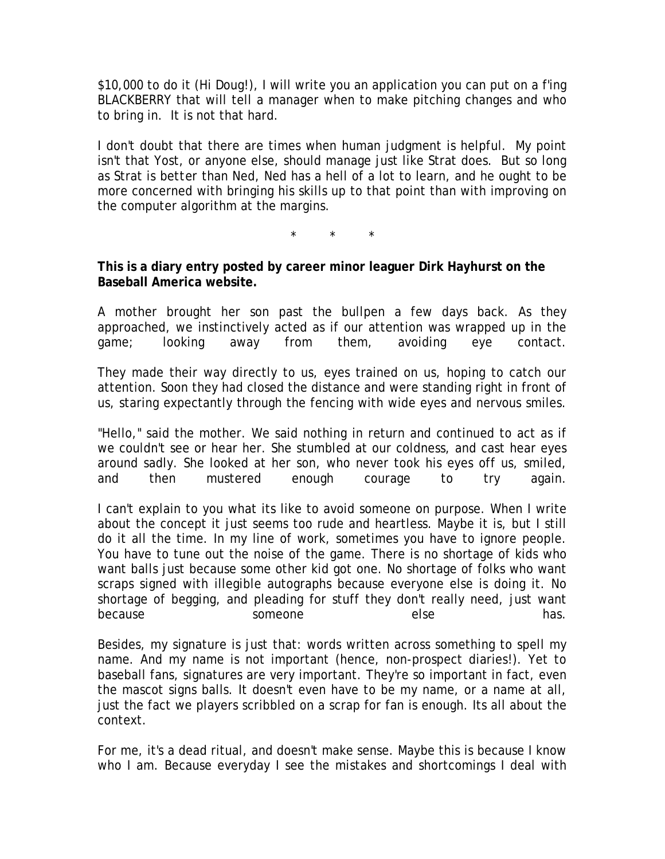\$10,000 to do it (Hi Doug!), I will write you an application you can put on a f'ing BLACKBERRY that will tell a manager when to make pitching changes and who to bring in. It is not that hard.

I don't doubt that there are times when human judgment is helpful. My point isn't that Yost, or anyone else, should manage just like Strat does. But so long as Strat is *better* than Ned, Ned has a hell of a lot to learn, and he ought to be more concerned with bringing his skills up to that point than with improving on the computer algorithm at the margins.

\* \* \*

**This is a diary entry posted by career minor leaguer Dirk Hayhurst on the Baseball America website.**

A mother brought her son past the bullpen a few days back. As they approached, we instinctively acted as if our attention was wrapped up in the game; looking away from them, avoiding eye contact.

They made their way directly to us, eyes trained on us, hoping to catch our attention. Soon they had closed the distance and were standing right in front of us, staring expectantly through the fencing with wide eyes and nervous smiles.

"Hello," said the mother. We said nothing in return and continued to act as if we couldn't see or hear her. She stumbled at our coldness, and cast hear eyes around sadly. She looked at her son, who never took his eyes off us, smiled, and then mustered enough courage to try again.

I can't explain to you what its like to avoid someone on purpose. When I write about the concept it just seems too rude and heartless. Maybe it is, but I still do it all the time. In my line of work, sometimes you have to ignore people. You have to tune out the noise of the game. There is no shortage of kids who want balls just because some other kid got one. No shortage of folks who want scraps signed with illegible autographs because everyone else is doing it. No shortage of begging, and pleading for stuff they don't really need, just want because someone else has.

Besides, my signature is just that: words written across something to spell my name. And my name is not important (hence, non-prospect diaries!). Yet to baseball fans, signatures are very important. They're so important in fact, even the mascot signs balls. It doesn't even have to be my name, or a name at all, just the fact we players scribbled on a scrap for fan is enough. Its all about the context.

For me, it's a dead ritual, and doesn't make sense. Maybe this is because I know who I am. Because everyday I see the mistakes and shortcomings I deal with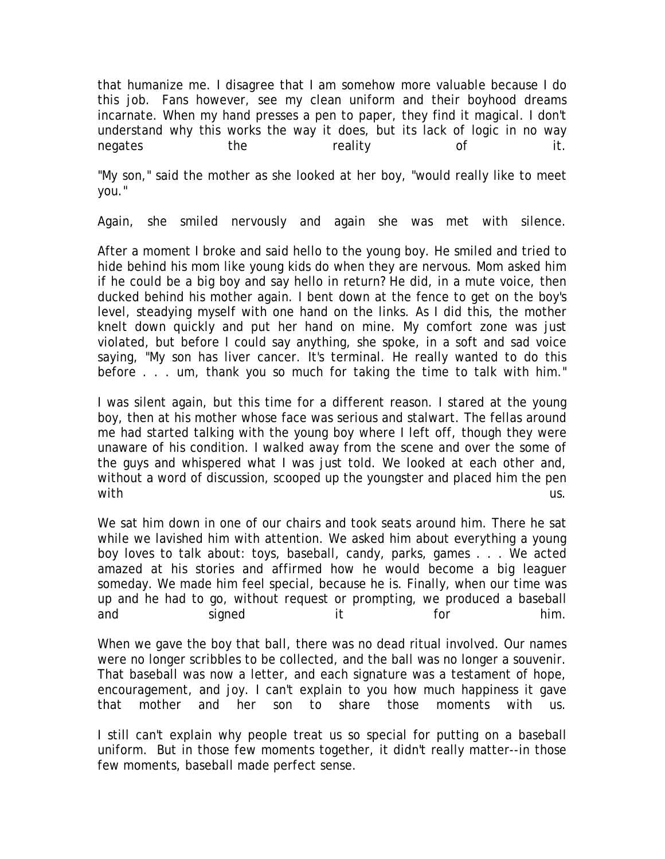that humanize me. I disagree that I am somehow more valuable because I do this job. Fans however, see my clean uniform and their boyhood dreams incarnate. When my hand presses a pen to paper, they find it magical. I don't understand why this works the way it does, but its lack of logic in no way negates the reality of it.

"My son," said the mother as she looked at her boy, "would really like to meet you."

Again, she smiled nervously and again she was met with silence.

After a moment I broke and said hello to the young boy. He smiled and tried to hide behind his mom like young kids do when they are nervous. Mom asked him if he could be a big boy and say hello in return? He did, in a mute voice, then ducked behind his mother again. I bent down at the fence to get on the boy's level, steadying myself with one hand on the links. As I did this, the mother knelt down quickly and put her hand on mine. My comfort zone was just violated, but before I could say anything, she spoke, in a soft and sad voice saying, "My son has liver cancer. It's terminal. He really wanted to do this before . . . um, thank you so much for taking the time to talk with him."

I was silent again, but this time for a different reason. I stared at the young boy, then at his mother whose face was serious and stalwart. The fellas around me had started talking with the young boy where I left off, though they were unaware of his condition. I walked away from the scene and over the some of the guys and whispered what I was just told. We looked at each other and, without a word of discussion, scooped up the youngster and placed him the pen with the contract of the contract of the contract of the contract of the contract of the contract of the contract of the contract of the contract of the contract of the contract of the contract of the contract of the contr

We sat him down in one of our chairs and took seats around him. There he sat while we lavished him with attention. We asked him about everything a young boy loves to talk about: toys, baseball, candy, parks, games . . . We acted amazed at his stories and affirmed how he would become a big leaguer someday. We made him feel special, because he is. Finally, when our time was up and he had to go, without request or prompting, we produced a baseball and signed it for him.

When we gave the boy that ball, there was no dead ritual involved. Our names were no longer scribbles to be collected, and the ball was no longer a souvenir. That baseball was now a letter, and each signature was a testament of hope, encouragement, and joy. I can't explain to you how much happiness it gave that mother and her son to share those moments with us.

I still can't explain why people treat us so special for putting on a baseball uniform. But in those few moments together, it didn't really matter--in those few moments, baseball made perfect sense.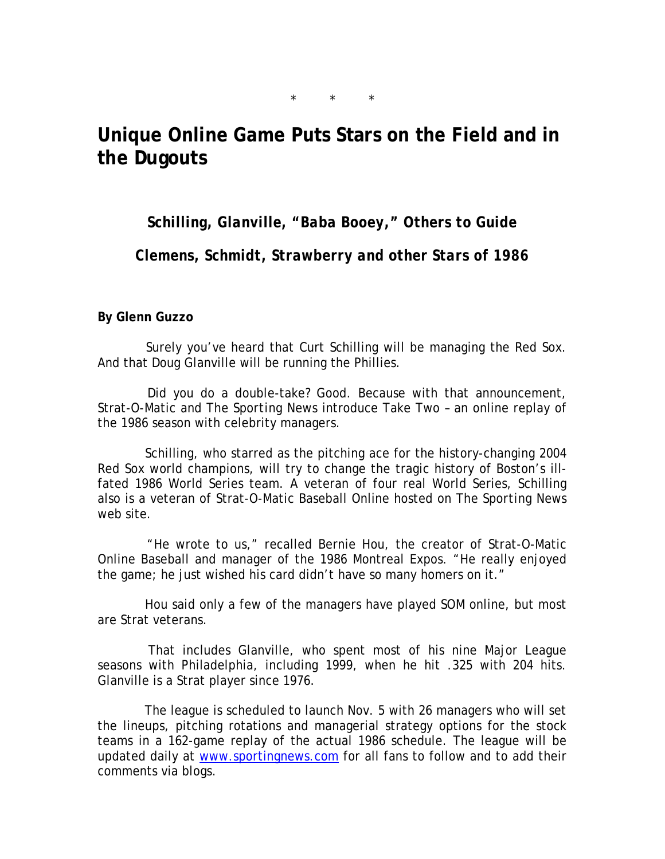## **Unique Online Game Puts Stars on the Field and in the Dugouts**

 $\star$   $\star$ 

*Schilling, Glanville, "Baba Booey," Others to Guide* 

*Clemens, Schmidt, Strawberry and other Stars of 1986*

**By Glenn Guzzo**

 Surely you've heard that Curt Schilling will be managing the Red Sox. And that Doug Glanville will be running the Phillies.

 Did you do a double-take? Good. Because with that announcement, Strat-O-Matic and *The Sporting News* introduce Take Two – an online replay of the 1986 season with celebrity managers.

 Schilling, who starred as the pitching ace for the history-changing 2004 Red Sox world champions, will try to change the tragic history of Boston's illfated 1986 World Series team. A veteran of four real World Series, Schilling also is a veteran of Strat-O-Matic Baseball Online hosted on *The Sporting News* web site.

 "He wrote to us," recalled Bernie Hou, the creator of Strat-O-Matic Online Baseball and manager of the 1986 Montreal Expos. "He really enjoyed the game; he just wished his card didn't have so many homers on it."

 Hou said only a few of the managers have played SOM online, but most are Strat veterans.

 That includes Glanville, who spent most of his nine Major League seasons with Philadelphia, including 1999, when he hit .325 with 204 hits. Glanville is a Strat player since 1976.

 The league is scheduled to launch Nov. 5 with 26 managers who will set the lineups, pitching rotations and managerial strategy options for the stock teams in a 162-game replay of the actual 1986 schedule. The league will be updated daily at [www.sportingnews.com](http://www.sportingnews.com/) for all fans to follow and to add their comments via blogs.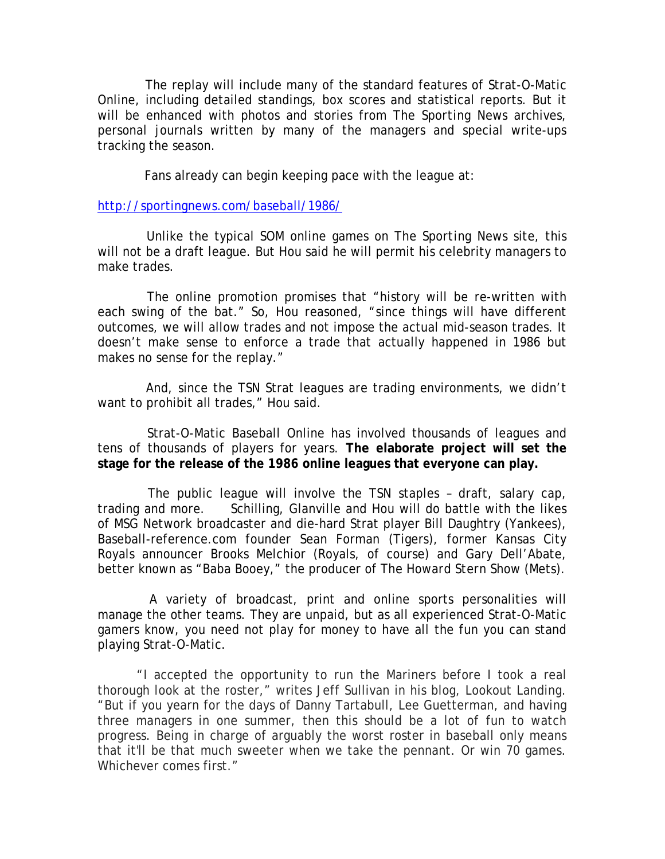The replay will include many of the standard features of Strat-O-Matic Online, including detailed standings, box scores and statistical reports. But it will be enhanced with photos and stories from *The Sporting News* archives, personal journals written by many of the managers and special write-ups tracking the season.

Fans already can begin keeping pace with the league at:

#### <http://sportingnews.com/baseball/1986/>

 Unlike the typical SOM online games on *The Sporting News* site, this will not be a draft league. But Hou said he will permit his celebrity managers to make trades.

 The online promotion promises that "history will be re-written with each swing of the bat." So, Hou reasoned, "since things will have different outcomes, we will allow trades and not impose the actual mid-season trades. It doesn't make sense to enforce a trade that actually happened in 1986 but makes no sense for the replay."

 And, since the TSN Strat leagues are trading environments, we didn't want to prohibit all trades," Hou said.

 Strat-O-Matic Baseball Online has involved thousands of leagues and tens of thousands of players for years. **The elaborate project will set the stage for the release of the 1986 online leagues that everyone can play.**

 The public league will involve the TSN staples – draft, salary cap, trading and more. Schilling, Glanville and Hou will do battle with the likes of MSG Network broadcaster and die-hard Strat player Bill Daughtry (Yankees), Baseball-reference.com founder Sean Forman (Tigers), former Kansas City Royals announcer Brooks Melchior (Royals, of course) and Gary Dell'Abate, better known as "Baba Booey," the producer of *The Howard Stern Show* (Mets).

 A variety of broadcast, print and online sports personalities will manage the other teams. They are unpaid, but as all experienced Strat-O-Matic gamers know, you need not play for money to have all the fun you can stand playing Strat-O-Matic.

"I accepted the opportunity to run the Mariners before I took a real thorough look at the roster," writes Jeff Sullivan in his blog, Lookout Landing. "But if you yearn for the days of Danny Tartabull, Lee Guetterman, and having three managers in one summer, then this should be a lot of fun to watch progress. Being in charge of arguably the worst roster in baseball only means that it'll be that much sweeter when we take the pennant. Or win 70 games. Whichever comes first."